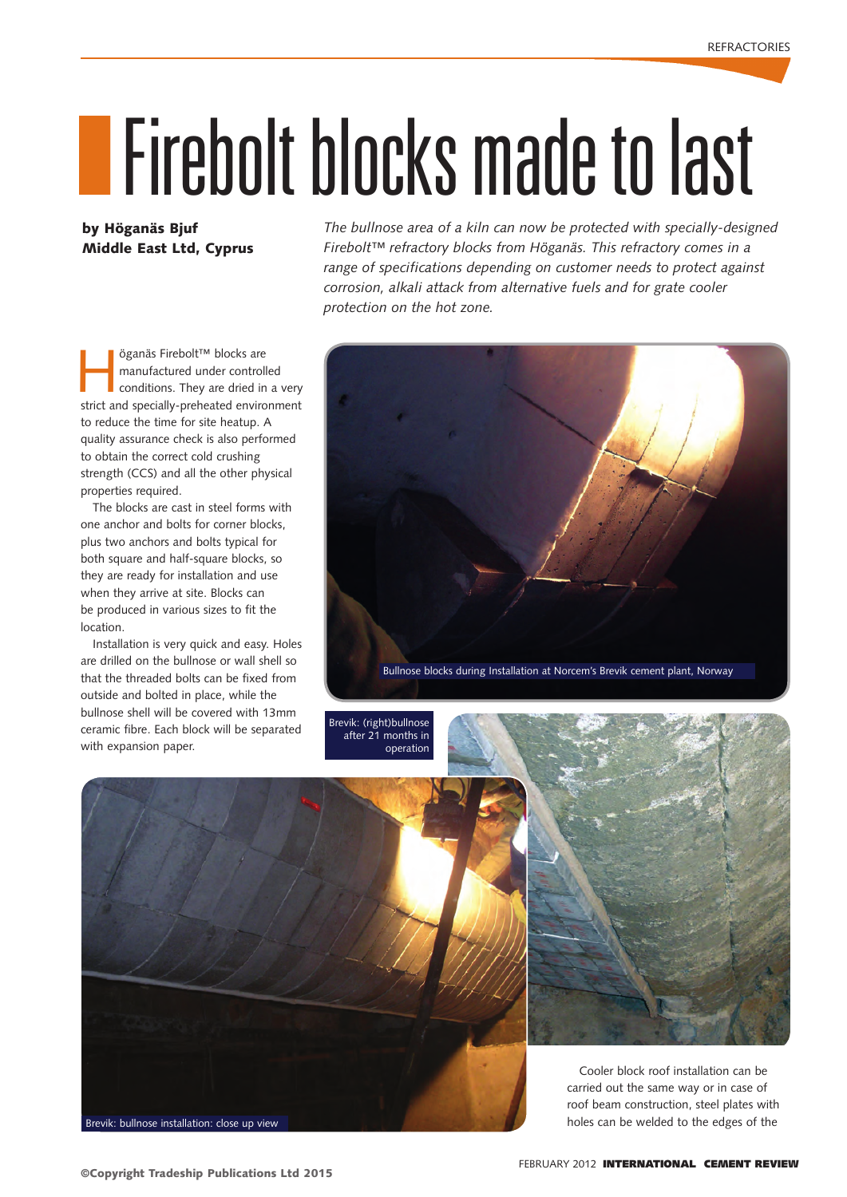## IFirebolt blocks made to last

## by Höganäs Bjuf Middle East Ltd, Cyprus

öganäs Firebolt™ blocks are manufactured under controlled conditions. They are dried in a very strict and specially-preheated environment to reduce the time for site heatup. A quality assurance check is also performed to obtain the correct cold crushing strength (CCS) and all the other physical properties required.

The blocks are cast in steel forms with one anchor and bolts for corner blocks, plus two anchors and bolts typical for both square and half-square blocks, so they are ready for installation and use when they arrive at site. Blocks can be produced in various sizes to fit the location.

Installation is very quick and easy. Holes are drilled on the bullnose or wall shell so that the threaded bolts can be fixed from outside and bolted in place, while the bullnose shell will be covered with 13mm ceramic fibre. Each block will be separated with expansion paper.

*The bullnose area of a kiln can now be protected with specially-designed Firebolt™ refractory blocks from Höganäs. This refractory comes in a range of specifications depending on customer needs to protect against corrosion, alkali attack from alternative fuels and for grate cooler protection on the hot zone.*



Brevik: (right)bullnose after 21 months in operation



Brevik: bullnose installation: close up view

carried out the same way or in case of roof beam construction, steel plates with holes can be welded to the edges of the